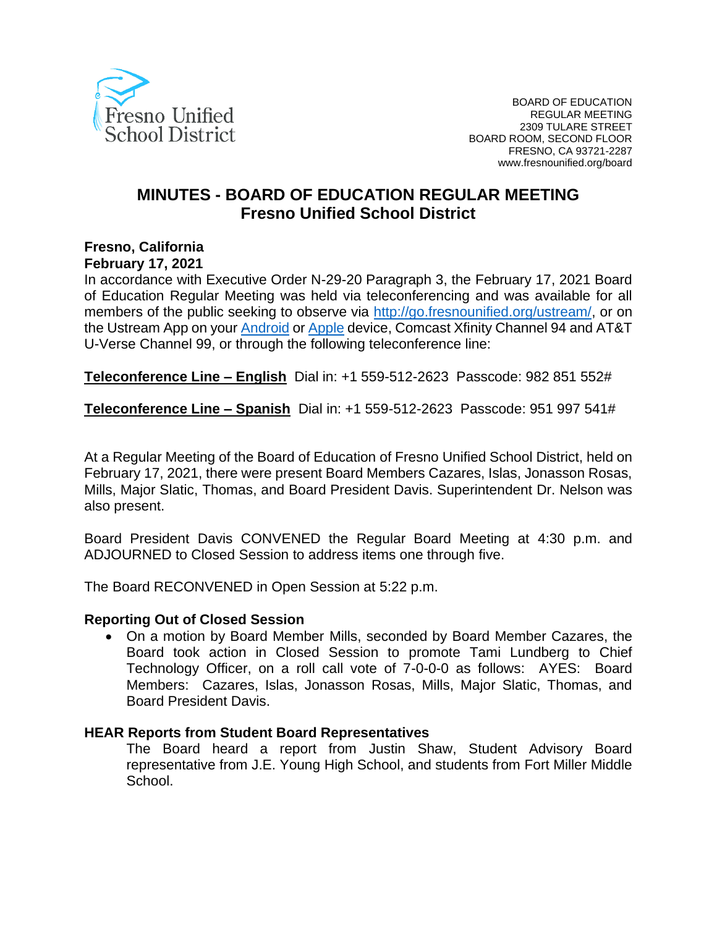

# **MINUTES - BOARD OF EDUCATION REGULAR MEETING Fresno Unified School District**

# **Fresno, California**

#### **February 17, 2021**

In accordance with Executive Order N-29-20 Paragraph 3, the February 17, 2021 Board of Education Regular Meeting was held via teleconferencing and was available for all members of the public seeking to observe via [http://go.fresnounified.org/ustream/,](http://go.fresnounified.org/ustream/) or on the Ustream App on your [Android](https://play.google.com/store/apps/details?id=tv.ustream.ustream&hl=en_US) or [Apple](https://itunes.apple.com/us/app/ustream/id301520250?mt=8) device, Comcast Xfinity Channel 94 and AT&T U-Verse Channel 99, or through the following teleconference line:

**Teleconference Line – English** Dial in: +1 559-512-2623 Passcode: 982 851 552#

**Teleconference Line – Spanish** Dial in: +1 559-512-2623 Passcode: 951 997 541#

At a Regular Meeting of the Board of Education of Fresno Unified School District, held on February 17, 2021, there were present Board Members Cazares, Islas, Jonasson Rosas, Mills, Major Slatic, Thomas, and Board President Davis. Superintendent Dr. Nelson was also present.

Board President Davis CONVENED the Regular Board Meeting at 4:30 p.m. and ADJOURNED to Closed Session to address items one through five.

The Board RECONVENED in Open Session at 5:22 p.m.

#### **Reporting Out of Closed Session**

• On a motion by Board Member Mills, seconded by Board Member Cazares, the Board took action in Closed Session to promote Tami Lundberg to Chief Technology Officer, on a roll call vote of 7-0-0-0 as follows: AYES: Board Members: Cazares, Islas, Jonasson Rosas, Mills, Major Slatic, Thomas, and Board President Davis.

### **HEAR Reports from Student Board Representatives**

The Board heard a report from Justin Shaw, Student Advisory Board representative from J.E. Young High School, and students from Fort Miller Middle School.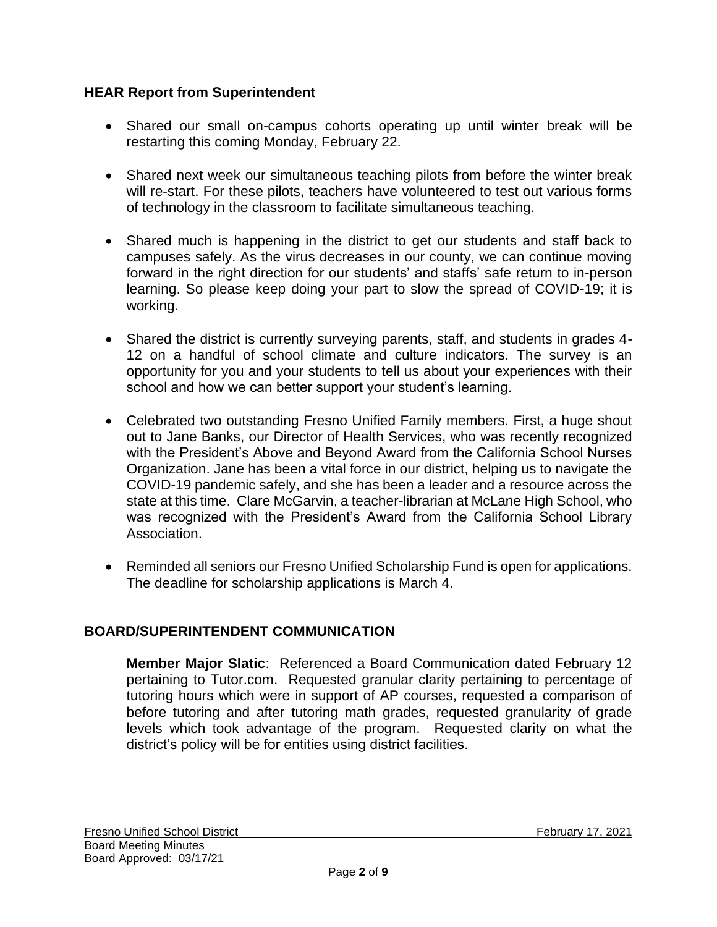### **HEAR Report from Superintendent**

- Shared our small on-campus cohorts operating up until winter break will be restarting this coming Monday, February 22.
- Shared next week our simultaneous teaching pilots from before the winter break will re-start. For these pilots, teachers have volunteered to test out various forms of technology in the classroom to facilitate simultaneous teaching.
- Shared much is happening in the district to get our students and staff back to campuses safely. As the virus decreases in our county, we can continue moving forward in the right direction for our students' and staffs' safe return to in-person learning. So please keep doing your part to slow the spread of COVID-19; it is working.
- Shared the district is currently surveying parents, staff, and students in grades 4- 12 on a handful of school climate and culture indicators. The survey is an opportunity for you and your students to tell us about your experiences with their school and how we can better support your student's learning.
- Celebrated two outstanding Fresno Unified Family members. First, a huge shout out to Jane Banks, our Director of Health Services, who was recently recognized with the President's Above and Beyond Award from the California School Nurses Organization. Jane has been a vital force in our district, helping us to navigate the COVID-19 pandemic safely, and she has been a leader and a resource across the state at this time. Clare McGarvin, a teacher-librarian at McLane High School, who was recognized with the President's Award from the California School Library Association.
- Reminded all seniors our Fresno Unified Scholarship Fund is open for applications. The deadline for scholarship applications is March 4.

## **BOARD/SUPERINTENDENT COMMUNICATION**

**Member Major Slatic**: Referenced a Board Communication dated February 12 pertaining to Tutor.com. Requested granular clarity pertaining to percentage of tutoring hours which were in support of AP courses, requested a comparison of before tutoring and after tutoring math grades, requested granularity of grade levels which took advantage of the program. Requested clarity on what the district's policy will be for entities using district facilities.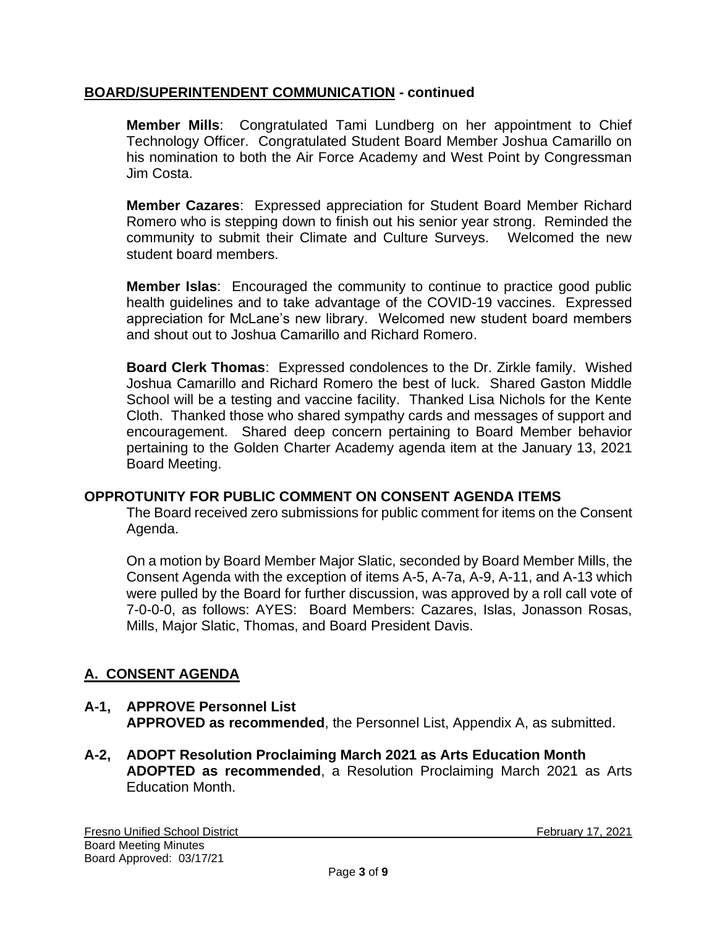### **BOARD/SUPERINTENDENT COMMUNICATION - continued**

**Member Mills**: Congratulated Tami Lundberg on her appointment to Chief Technology Officer. Congratulated Student Board Member Joshua Camarillo on his nomination to both the Air Force Academy and West Point by Congressman Jim Costa.

**Member Cazares**: Expressed appreciation for Student Board Member Richard Romero who is stepping down to finish out his senior year strong. Reminded the community to submit their Climate and Culture Surveys. Welcomed the new student board members.

**Member Islas**: Encouraged the community to continue to practice good public health guidelines and to take advantage of the COVID-19 vaccines. Expressed appreciation for McLane's new library. Welcomed new student board members and shout out to Joshua Camarillo and Richard Romero.

**Board Clerk Thomas**: Expressed condolences to the Dr. Zirkle family. Wished Joshua Camarillo and Richard Romero the best of luck. Shared Gaston Middle School will be a testing and vaccine facility. Thanked Lisa Nichols for the Kente Cloth. Thanked those who shared sympathy cards and messages of support and encouragement. Shared deep concern pertaining to Board Member behavior pertaining to the Golden Charter Academy agenda item at the January 13, 2021 Board Meeting.

### **OPPROTUNITY FOR PUBLIC COMMENT ON CONSENT AGENDA ITEMS**

The Board received zero submissions for public comment for items on the Consent Agenda.

On a motion by Board Member Major Slatic, seconded by Board Member Mills, the Consent Agenda with the exception of items A-5, A-7a, A-9, A-11, and A-13 which were pulled by the Board for further discussion, was approved by a roll call vote of 7-0-0-0, as follows: AYES: Board Members: Cazares, Islas, Jonasson Rosas, Mills, Major Slatic, Thomas, and Board President Davis.

## **A. CONSENT AGENDA**

### **A-1, APPROVE Personnel List APPROVED as recommended**, the Personnel List, Appendix A, as submitted.

**A-2, ADOPT Resolution Proclaiming March 2021 as Arts Education Month ADOPTED as recommended**, a Resolution Proclaiming March 2021 as Arts Education Month.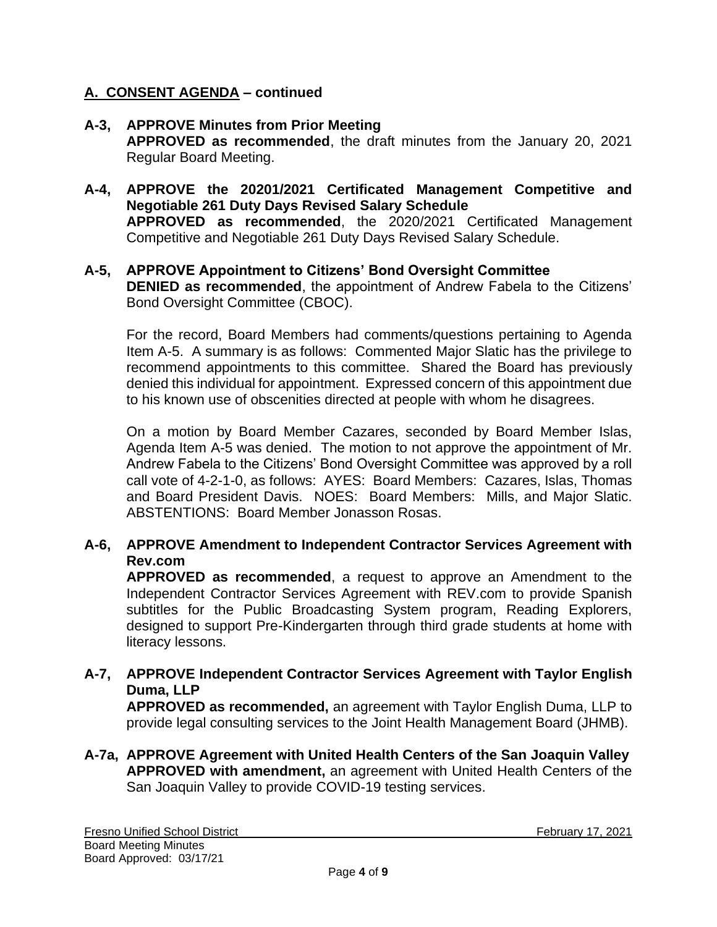### **A-3, APPROVE Minutes from Prior Meeting APPROVED as recommended**, the draft minutes from the January 20, 2021 Regular Board Meeting.

**A-4, APPROVE the 20201/2021 Certificated Management Competitive and Negotiable 261 Duty Days Revised Salary Schedule APPROVED as recommended**, the 2020/2021 Certificated Management Competitive and Negotiable 261 Duty Days Revised Salary Schedule.

### **A-5, APPROVE Appointment to Citizens' Bond Oversight Committee DENIED as recommended**, the appointment of Andrew Fabela to the Citizens' Bond Oversight Committee (CBOC).

For the record, Board Members had comments/questions pertaining to Agenda Item A-5. A summary is as follows: Commented Major Slatic has the privilege to recommend appointments to this committee. Shared the Board has previously denied this individual for appointment. Expressed concern of this appointment due to his known use of obscenities directed at people with whom he disagrees.

On a motion by Board Member Cazares, seconded by Board Member Islas, Agenda Item A-5 was denied. The motion to not approve the appointment of Mr. Andrew Fabela to the Citizens' Bond Oversight Committee was approved by a roll call vote of 4-2-1-0, as follows: AYES: Board Members: Cazares, Islas, Thomas and Board President Davis. NOES: Board Members: Mills, and Major Slatic. ABSTENTIONS: Board Member Jonasson Rosas.

## **A-6, APPROVE Amendment to Independent Contractor Services Agreement with Rev.com**

**APPROVED as recommended**, a request to approve an Amendment to the Independent Contractor Services Agreement with REV.com to provide Spanish subtitles for the Public Broadcasting System program, Reading Explorers, designed to support Pre-Kindergarten through third grade students at home with literacy lessons.

### **A-7, APPROVE Independent Contractor Services Agreement with Taylor English Duma, LLP**

**APPROVED as recommended,** an agreement with Taylor English Duma, LLP to provide legal consulting services to the Joint Health Management Board (JHMB).

**A-7a, APPROVE Agreement with United Health Centers of the San Joaquin Valley APPROVED with amendment,** an agreement with United Health Centers of the San Joaquin Valley to provide COVID-19 testing services.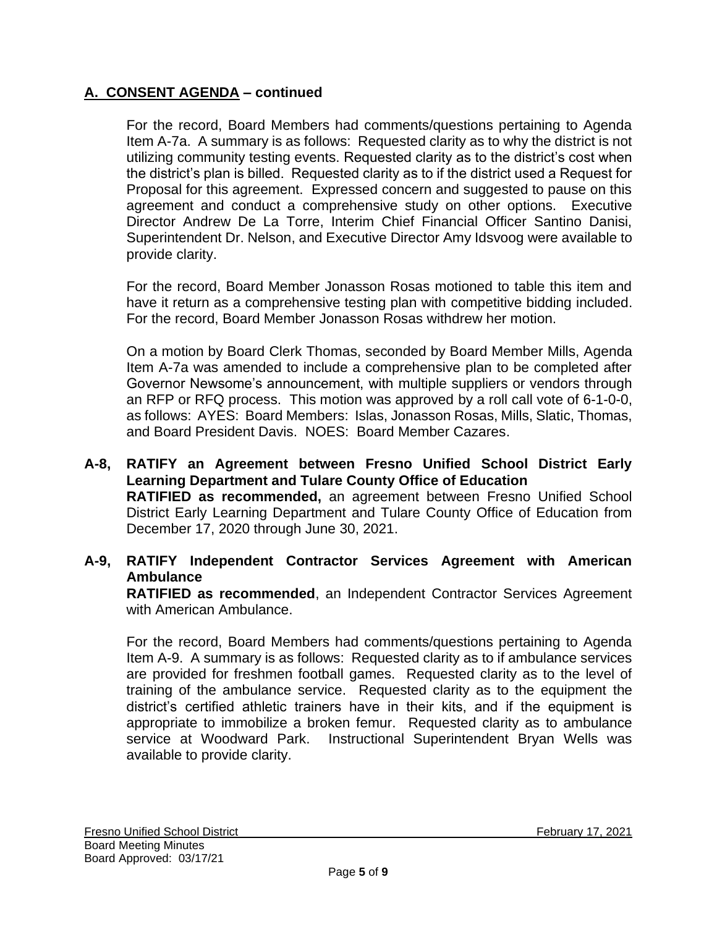For the record, Board Members had comments/questions pertaining to Agenda Item A-7a. A summary is as follows: Requested clarity as to why the district is not utilizing community testing events. Requested clarity as to the district's cost when the district's plan is billed. Requested clarity as to if the district used a Request for Proposal for this agreement. Expressed concern and suggested to pause on this agreement and conduct a comprehensive study on other options. Executive Director Andrew De La Torre, Interim Chief Financial Officer Santino Danisi, Superintendent Dr. Nelson, and Executive Director Amy Idsvoog were available to provide clarity.

For the record, Board Member Jonasson Rosas motioned to table this item and have it return as a comprehensive testing plan with competitive bidding included. For the record, Board Member Jonasson Rosas withdrew her motion.

On a motion by Board Clerk Thomas, seconded by Board Member Mills, Agenda Item A-7a was amended to include a comprehensive plan to be completed after Governor Newsome's announcement, with multiple suppliers or vendors through an RFP or RFQ process. This motion was approved by a roll call vote of 6-1-0-0, as follows: AYES: Board Members: Islas, Jonasson Rosas, Mills, Slatic, Thomas, and Board President Davis. NOES: Board Member Cazares.

**A-8, RATIFY an Agreement between Fresno Unified School District Early Learning Department and Tulare County Office of Education RATIFIED as recommended,** an agreement between Fresno Unified School District Early Learning Department and Tulare County Office of Education from December 17, 2020 through June 30, 2021.

### **A-9, RATIFY Independent Contractor Services Agreement with American Ambulance**

**RATIFIED as recommended**, an Independent Contractor Services Agreement with American Ambulance.

For the record, Board Members had comments/questions pertaining to Agenda Item A-9. A summary is as follows: Requested clarity as to if ambulance services are provided for freshmen football games. Requested clarity as to the level of training of the ambulance service. Requested clarity as to the equipment the district's certified athletic trainers have in their kits, and if the equipment is appropriate to immobilize a broken femur. Requested clarity as to ambulance service at Woodward Park. Instructional Superintendent Bryan Wells was available to provide clarity.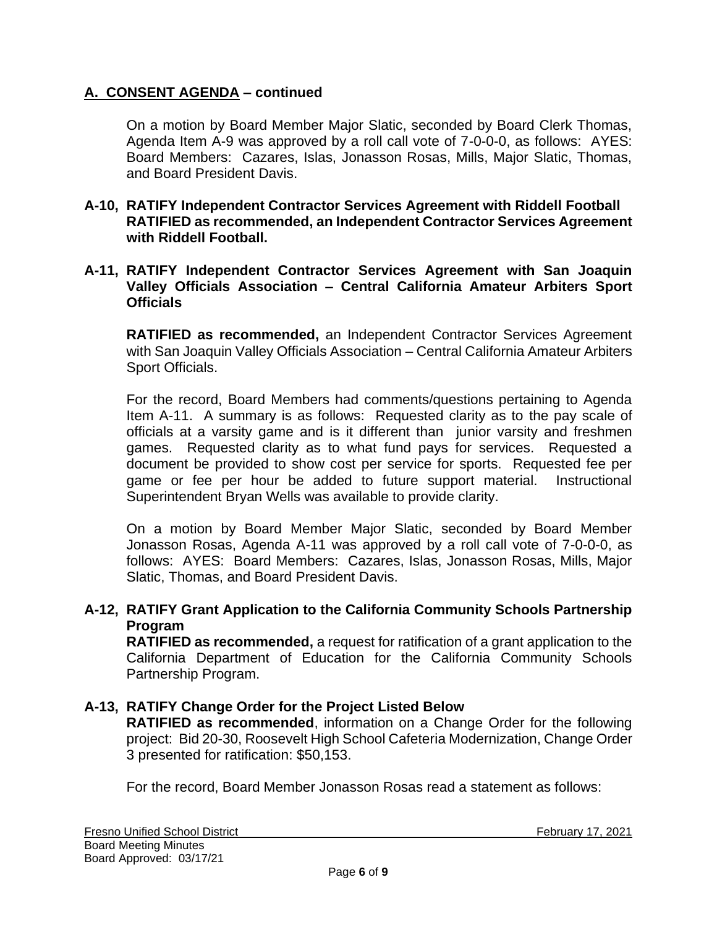On a motion by Board Member Major Slatic, seconded by Board Clerk Thomas, Agenda Item A-9 was approved by a roll call vote of 7-0-0-0, as follows: AYES: Board Members: Cazares, Islas, Jonasson Rosas, Mills, Major Slatic, Thomas, and Board President Davis.

**A-10, RATIFY Independent Contractor Services Agreement with Riddell Football RATIFIED as recommended, an Independent Contractor Services Agreement with Riddell Football.** 

### **A-11, RATIFY Independent Contractor Services Agreement with San Joaquin Valley Officials Association – Central California Amateur Arbiters Sport Officials**

**RATIFIED as recommended,** an Independent Contractor Services Agreement with San Joaquin Valley Officials Association – Central California Amateur Arbiters Sport Officials.

For the record, Board Members had comments/questions pertaining to Agenda Item A-11. A summary is as follows: Requested clarity as to the pay scale of officials at a varsity game and is it different than junior varsity and freshmen games. Requested clarity as to what fund pays for services. Requested a document be provided to show cost per service for sports. Requested fee per game or fee per hour be added to future support material. Instructional Superintendent Bryan Wells was available to provide clarity.

On a motion by Board Member Major Slatic, seconded by Board Member Jonasson Rosas, Agenda A-11 was approved by a roll call vote of 7-0-0-0, as follows: AYES: Board Members: Cazares, Islas, Jonasson Rosas, Mills, Major Slatic, Thomas, and Board President Davis.

### **A-12, RATIFY Grant Application to the California Community Schools Partnership Program**

**RATIFIED as recommended,** a request for ratification of a grant application to the California Department of Education for the California Community Schools Partnership Program.

### **A-13, RATIFY Change Order for the Project Listed Below**

**RATIFIED as recommended**, information on a Change Order for the following project: Bid 20-30, Roosevelt High School Cafeteria Modernization, Change Order 3 presented for ratification: \$50,153.

For the record, Board Member Jonasson Rosas read a statement as follows: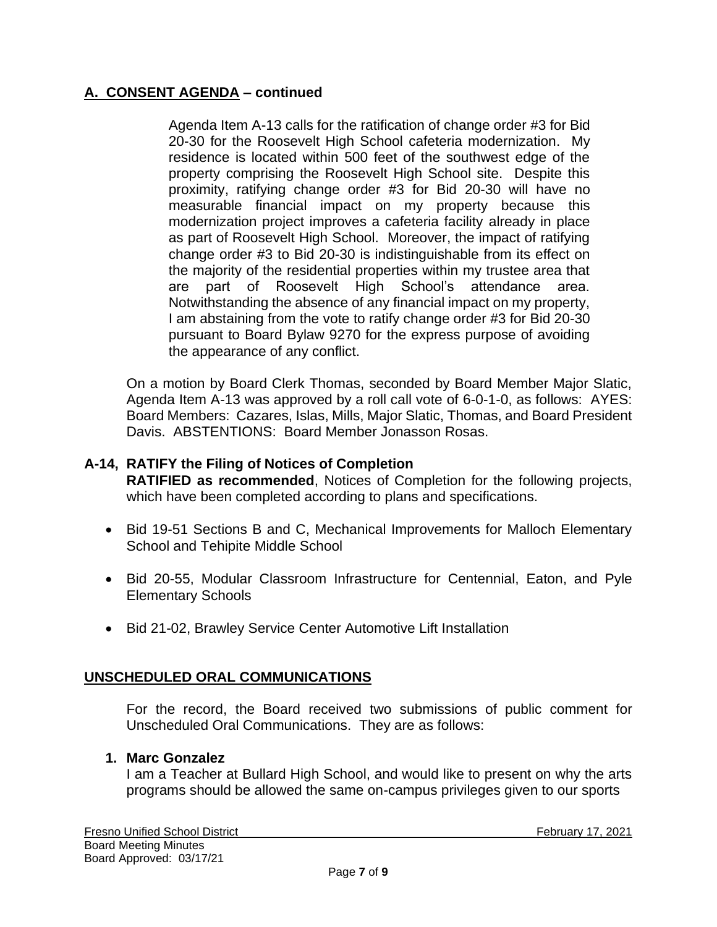Agenda Item A-13 calls for the ratification of change order #3 for Bid 20-30 for the Roosevelt High School cafeteria modernization. My residence is located within 500 feet of the southwest edge of the property comprising the Roosevelt High School site. Despite this proximity, ratifying change order #3 for Bid 20-30 will have no measurable financial impact on my property because this modernization project improves a cafeteria facility already in place as part of Roosevelt High School. Moreover, the impact of ratifying change order #3 to Bid 20-30 is indistinguishable from its effect on the majority of the residential properties within my trustee area that are part of Roosevelt High School's attendance area. Notwithstanding the absence of any financial impact on my property, I am abstaining from the vote to ratify change order #3 for Bid 20-30 pursuant to Board Bylaw 9270 for the express purpose of avoiding the appearance of any conflict.

On a motion by Board Clerk Thomas, seconded by Board Member Major Slatic, Agenda Item A-13 was approved by a roll call vote of 6-0-1-0, as follows: AYES: Board Members: Cazares, Islas, Mills, Major Slatic, Thomas, and Board President Davis. ABSTENTIONS: Board Member Jonasson Rosas.

### **A-14, RATIFY the Filing of Notices of Completion**

**RATIFIED as recommended**, Notices of Completion for the following projects, which have been completed according to plans and specifications.

- Bid 19-51 Sections B and C, Mechanical Improvements for Malloch Elementary School and Tehipite Middle School
- Bid 20-55, Modular Classroom Infrastructure for Centennial, Eaton, and Pyle Elementary Schools
- Bid 21-02, Brawley Service Center Automotive Lift Installation

### **UNSCHEDULED ORAL COMMUNICATIONS**

For the record, the Board received two submissions of public comment for Unscheduled Oral Communications. They are as follows:

### **1. Marc Gonzalez**

I am a Teacher at Bullard High School, and would like to present on why the arts programs should be allowed the same on-campus privileges given to our sports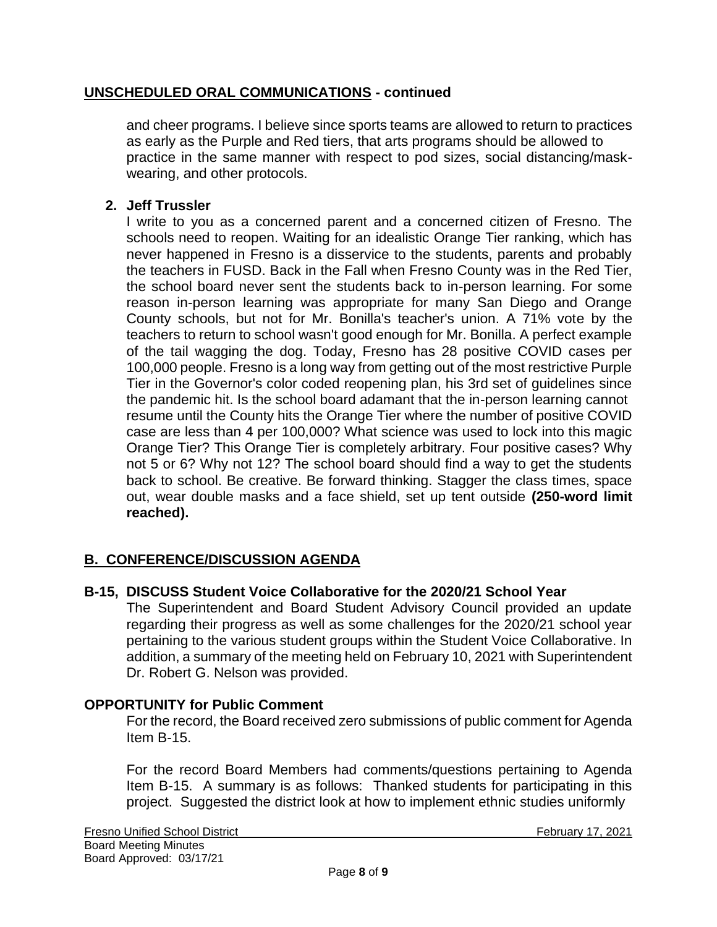### **UNSCHEDULED ORAL COMMUNICATIONS - continued**

and cheer programs. I believe since sports teams are allowed to return to practices as early as the Purple and Red tiers, that arts programs should be allowed to practice in the same manner with respect to pod sizes, social distancing/maskwearing, and other protocols.

### **2. Jeff Trussler**

I write to you as a concerned parent and a concerned citizen of Fresno. The schools need to reopen. Waiting for an idealistic Orange Tier ranking, which has never happened in Fresno is a disservice to the students, parents and probably the teachers in FUSD. Back in the Fall when Fresno County was in the Red Tier, the school board never sent the students back to in-person learning. For some reason in-person learning was appropriate for many San Diego and Orange County schools, but not for Mr. Bonilla's teacher's union. A 71% vote by the teachers to return to school wasn't good enough for Mr. Bonilla. A perfect example of the tail wagging the dog. Today, Fresno has 28 positive COVID cases per 100,000 people. Fresno is a long way from getting out of the most restrictive Purple Tier in the Governor's color coded reopening plan, his 3rd set of guidelines since the pandemic hit. Is the school board adamant that the in-person learning cannot resume until the County hits the Orange Tier where the number of positive COVID case are less than 4 per 100,000? What science was used to lock into this magic Orange Tier? This Orange Tier is completely arbitrary. Four positive cases? Why not 5 or 6? Why not 12? The school board should find a way to get the students back to school. Be creative. Be forward thinking. Stagger the class times, space out, wear double masks and a face shield, set up tent outside **(250-word limit reached).**

### **B. CONFERENCE/DISCUSSION AGENDA**

### **B-15, DISCUSS Student Voice Collaborative for the 2020/21 School Year**

The Superintendent and Board Student Advisory Council provided an update regarding their progress as well as some challenges for the 2020/21 school year pertaining to the various student groups within the Student Voice Collaborative. In addition, a summary of the meeting held on February 10, 2021 with Superintendent Dr. Robert G. Nelson was provided.

### **OPPORTUNITY for Public Comment**

For the record, the Board received zero submissions of public comment for Agenda Item B-15.

For the record Board Members had comments/questions pertaining to Agenda Item B-15. A summary is as follows: Thanked students for participating in this project. Suggested the district look at how to implement ethnic studies uniformly